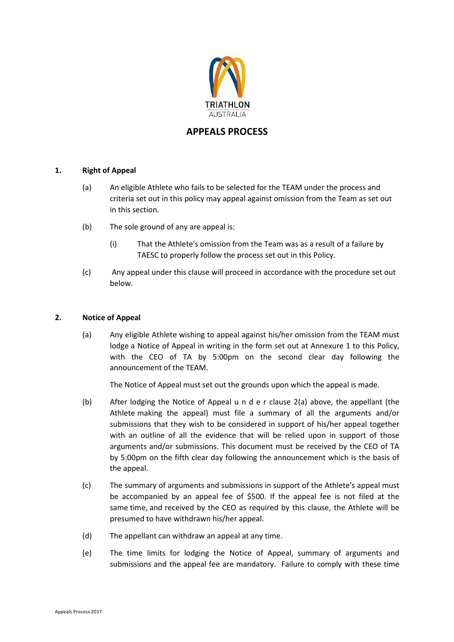

# **APPEALS PROCESS**

### **1. Right of Appeal**

- (a) An eligible Athlete who fails to be selected for the TEAM under the process and criteria set out in this policy may appeal against omission from the Team as set out in this section.
- (b) The sole ground of any are appeal is:
	- (i) That the Athlete's omission from the Team was as a result of a failure by TAESC to properly follow the process set out in this Policy.
- (c) Any appeal under this clause will proceed in accordance with the procedure set out below.

#### **2. Notice of Appeal**

(a) Any eligible Athlete wishing to appeal against his/her omission from the TEAM must lodge a Notice of Appeal in writing in the form set out at Annexure 1 to this Policy, with the CEO of TA by 5:00pm on the second clear day following the announcement of the TEAM.

The Notice of Appeal must set out the grounds upon which the appeal is made.

- (b) After lodging the Notice of Appeal u n d e r clause 2(a) above, the appellant (the Athlete making the appeal) must file a summary of all the arguments and/or submissions that they wish to be considered in support of his/her appeal together with an outline of all the evidence that will be relied upon in support of those arguments and/or submissions. This document must be received by the CEO of TA by 5:00pm on the fifth clear day following the announcement which is the basis of the appeal.
- (c) The summary of arguments and submissions in support of the Athlete's appeal must be accompanied by an appeal fee of \$500. If the appeal fee is not filed at the same time, and received by the CEO as required by this clause, the Athlete will be presumed to have withdrawn his/her appeal.
- (d) The appellant can withdraw an appeal at any time.
- (e) The time limits for lodging the Notice of Appeal, summary of arguments and submissions and the appeal fee are mandatory. Failure to comply with these time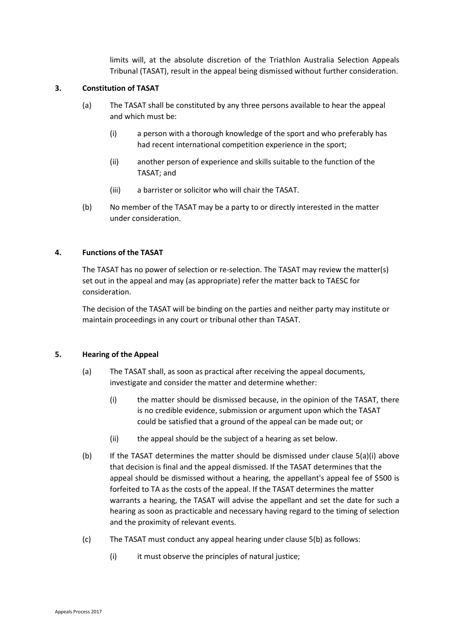limits will, at the absolute discretion of the Triathlon Australia Selection Appeals Tribunal (TASAT), result in the appeal being dismissed without further consideration.

### **3. Constitution of TASAT**

- (a) The TASAT shall be constituted by any three persons available to hear the appeal and which must be:
	- (i) a person with a thorough knowledge of the sport and who preferably has had recent international competition experience in the sport;
	- (ii) another person of experience and skills suitable to the function of the TASAT; and
	- (iii) a barrister or solicitor who will chair the TASAT.
- (b) No member of the TASAT may be a party to or directly interested in the matter under consideration.

### **4. Functions of the TASAT**

The TASAT has no power of selection or re-selection. The TASAT may review the matter(s) set out in the appeal and may (as appropriate) refer the matter back to TAESC for consideration.

The decision of the TASAT will be binding on the parties and neither party may institute or maintain proceedings in any court or tribunal other than TASAT.

### **5. Hearing of the Appeal**

- (a) The TASAT shall, as soon as practical after receiving the appeal documents, investigate and consider the matter and determine whether:
	- (i) the matter should be dismissed because, in the opinion of the TASAT, there is no credible evidence, submission or argument upon which the TASAT could be satisfied that a ground of the appeal can be made out; or
	- (ii) the appeal should be the subject of a hearing as set below.
- (b) If the TASAT determines the matter should be dismissed under clause 5(a)(i) above that decision is final and the appeal dismissed. If the TASAT determines that the appeal should be dismissed without a hearing, the appellant's appeal fee of \$500 is forfeited to TA as the costs of the appeal. If the TASAT determines the matter warrants a hearing, the TASAT will advise the appellant and set the date for such a hearing as soon as practicable and necessary having regard to the timing of selection and the proximity of relevant events.
- (c) The TASAT must conduct any appeal hearing under clause 5(b) as follows:
	- (i) it must observe the principles of natural justice;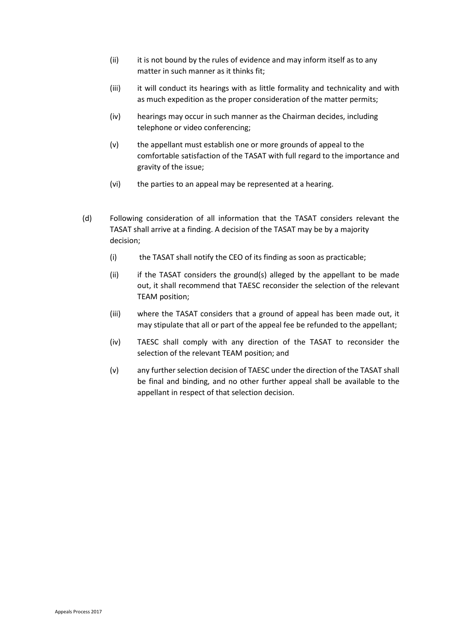- (ii) it is not bound by the rules of evidence and may inform itself as to any matter in such manner as it thinks fit;
- (iii) it will conduct its hearings with as little formality and technicality and with as much expedition as the proper consideration of the matter permits;
- (iv) hearings may occur in such manner as the Chairman decides, including telephone or video conferencing;
- (v) the appellant must establish one or more grounds of appeal to the comfortable satisfaction of the TASAT with full regard to the importance and gravity of the issue;
- (vi) the parties to an appeal may be represented at a hearing.
- (d) Following consideration of all information that the TASAT considers relevant the TASAT shall arrive at a finding. A decision of the TASAT may be by a majority decision;
	- (i) the TASAT shall notify the CEO of its finding as soon as practicable;
	- (ii) if the TASAT considers the ground(s) alleged by the appellant to be made out, it shall recommend that TAESC reconsider the selection of the relevant TEAM position;
	- (iii) where the TASAT considers that a ground of appeal has been made out, it may stipulate that all or part of the appeal fee be refunded to the appellant;
	- (iv) TAESC shall comply with any direction of the TASAT to reconsider the selection of the relevant TEAM position; and
	- (v) any further selection decision of TAESC under the direction of the TASAT shall be final and binding, and no other further appeal shall be available to the appellant in respect of that selection decision.